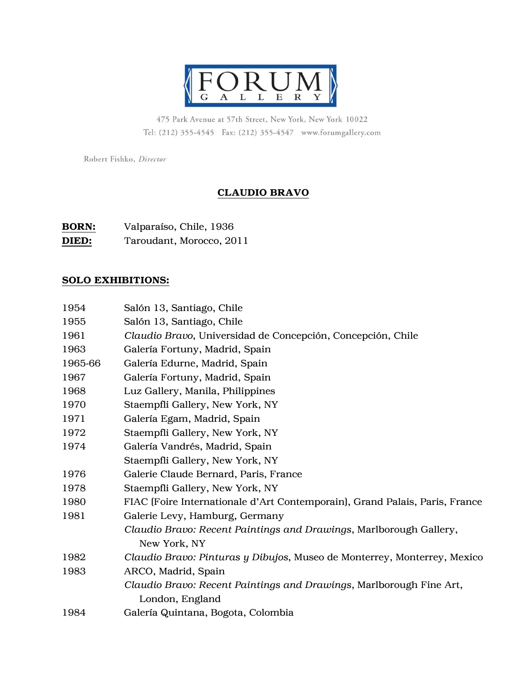

475 Park Avenue at 57th Street, New York, New York 10022 Tel: (212) 355-4545 Fax: (212) 355-4547 www.forumgallery.com

Robert Fishko, Director

## CLAUDIO BRAVO

| <b>BORN:</b> | Valparaíso, Chile, 1936  |
|--------------|--------------------------|
| DIED:        | Taroudant, Morocco, 2011 |

## SOLO EXHIBITIONS:

| 1954    | Salón 13, Santiago, Chile                                                   |
|---------|-----------------------------------------------------------------------------|
| 1955    | Salón 13, Santiago, Chile                                                   |
| 1961    | Claudio Bravo, Universidad de Concepción, Concepción, Chile                 |
| 1963    | Galería Fortuny, Madrid, Spain                                              |
| 1965-66 | Galería Edurne, Madrid, Spain                                               |
| 1967    | Galería Fortuny, Madrid, Spain                                              |
| 1968    | Luz Gallery, Manila, Philippines                                            |
| 1970    | Staempfli Gallery, New York, NY                                             |
| 1971    | Galería Egam, Madrid, Spain                                                 |
| 1972    | Staempfli Gallery, New York, NY                                             |
| 1974    | Galería Vandrés, Madrid, Spain                                              |
|         | Staempfli Gallery, New York, NY                                             |
| 1976    | Galerie Claude Bernard, Paris, France                                       |
| 1978    | Staempfli Gallery, New York, NY                                             |
| 1980    | FIAC (Foire Internationale d'Art Contemporain), Grand Palais, Paris, France |
| 1981    | Galerie Levy, Hamburg, Germany                                              |
|         | Claudio Bravo: Recent Paintings and Drawings, Marlborough Gallery,          |
|         | New York, NY                                                                |
| 1982    | Claudio Bravo: Pinturas y Dibujos, Museo de Monterrey, Monterrey, Mexico    |
| 1983    | ARCO, Madrid, Spain                                                         |
|         | Claudio Bravo: Recent Paintings and Drawings, Marlborough Fine Art,         |
|         | London, England                                                             |
| 1984    | Galería Quintana, Bogota, Colombia                                          |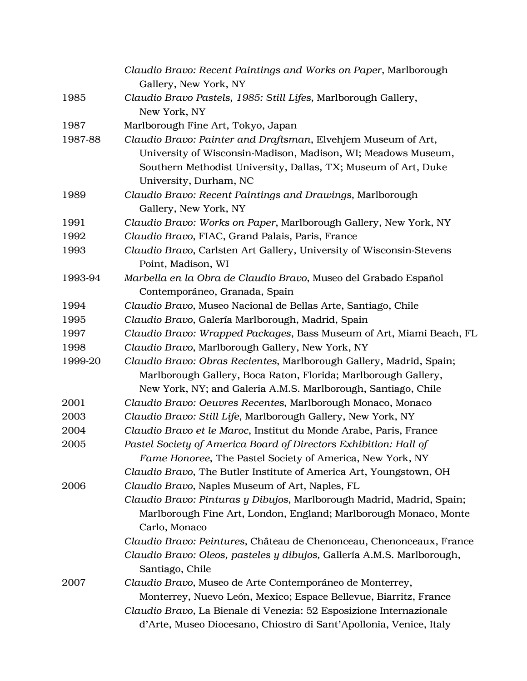|         | Claudio Bravo: Recent Paintings and Works on Paper, Marlborough<br>Gallery, New York, NY                                                                                                                                   |
|---------|----------------------------------------------------------------------------------------------------------------------------------------------------------------------------------------------------------------------------|
| 1985    | Claudio Bravo Pastels, 1985: Still Lifes, Marlborough Gallery,                                                                                                                                                             |
|         | New York, NY                                                                                                                                                                                                               |
| 1987    | Marlborough Fine Art, Tokyo, Japan                                                                                                                                                                                         |
| 1987-88 | Claudio Bravo: Painter and Draftsman, Elvehjem Museum of Art,<br>University of Wisconsin-Madison, Madison, WI; Meadows Museum,<br>Southern Methodist University, Dallas, TX; Museum of Art, Duke<br>University, Durham, NC |
| 1989    | Claudio Bravo: Recent Paintings and Drawings, Marlborough<br>Gallery, New York, NY                                                                                                                                         |
| 1991    | Claudio Bravo: Works on Paper, Marlborough Gallery, New York, NY                                                                                                                                                           |
| 1992    | Claudio Bravo, FIAC, Grand Palais, Paris, France                                                                                                                                                                           |
| 1993    | Claudio Bravo, Carlsten Art Gallery, University of Wisconsin-Stevens<br>Point, Madison, WI                                                                                                                                 |
| 1993-94 | Marbella en la Obra de Claudio Bravo, Museo del Grabado Español<br>Contemporáneo, Granada, Spain                                                                                                                           |
| 1994    | Claudio Bravo, Museo Nacional de Bellas Arte, Santiago, Chile                                                                                                                                                              |
| 1995    | Claudio Bravo, Galería Marlborough, Madrid, Spain                                                                                                                                                                          |
| 1997    | Claudio Bravo: Wrapped Packages, Bass Museum of Art, Miami Beach, FL                                                                                                                                                       |
| 1998    | Claudio Bravo, Marlborough Gallery, New York, NY                                                                                                                                                                           |
| 1999-20 | Claudio Bravo: Obras Recientes, Marlborough Gallery, Madrid, Spain;<br>Marlborough Gallery, Boca Raton, Florida; Marlborough Gallery,<br>New York, NY; and Galeria A.M.S. Marlborough, Santiago, Chile                     |
| 2001    | Claudio Bravo: Oeuvres Recentes, Marlborough Monaco, Monaco                                                                                                                                                                |
| 2003    | Claudio Bravo: Still Life, Marlborough Gallery, New York, NY                                                                                                                                                               |
| 2004    | Claudio Bravo et le Maroc, Institut du Monde Arabe, Paris, France                                                                                                                                                          |
| 2005    | Pastel Society of America Board of Directors Exhibition: Hall of<br>Fame Honoree, The Pastel Society of America, New York, NY<br>Claudio Bravo, The Butler Institute of America Art, Youngstown, OH                        |
| 2006    | Claudio Bravo, Naples Museum of Art, Naples, FL<br>Claudio Bravo: Pinturas y Dibujos, Marlborough Madrid, Madrid, Spain;<br>Marlborough Fine Art, London, England; Marlborough Monaco, Monte<br>Carlo, Monaco              |
|         | Claudio Bravo: Peintures, Château de Chenonceau, Chenonceaux, France                                                                                                                                                       |
|         | Claudio Bravo: Oleos, pasteles y dibujos, Gallería A.M.S. Marlborough,<br>Santiago, Chile                                                                                                                                  |
| 2007    | Claudio Bravo, Museo de Arte Contemporáneo de Monterrey,                                                                                                                                                                   |
|         | Monterrey, Nuevo León, Mexico; Espace Bellevue, Biarritz, France                                                                                                                                                           |
|         | Claudio Bravo, La Bienale di Venezia: 52 Esposizione Internazionale<br>d'Arte, Museo Diocesano, Chiostro di Sant'Apollonia, Venice, Italy                                                                                  |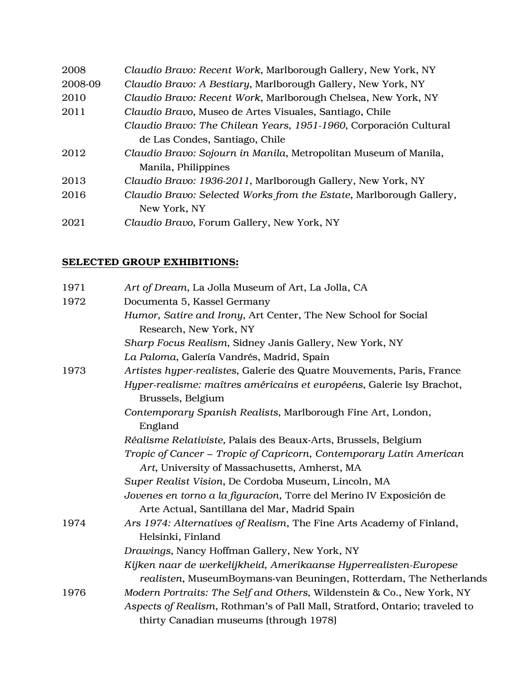| 2008    | Claudio Bravo: Recent Work, Marlborough Gallery, New York, NY       |
|---------|---------------------------------------------------------------------|
| 2008-09 | Claudio Bravo: A Bestiary, Marlborough Gallery, New York, NY        |
| 2010    | Claudio Bravo: Recent Work, Marlborough Chelsea, New York, NY       |
| 2011    | Claudio Bravo, Museo de Artes Visuales, Santiago, Chile             |
|         | Claudio Bravo: The Chilean Years, 1951-1960, Corporación Cultural   |
|         | de Las Condes, Santiago, Chile                                      |
| 2012    | Claudio Bravo: Sojourn in Manila, Metropolitan Museum of Manila,    |
|         | Manila, Philippines                                                 |
| 2013    | Claudio Bravo: 1936-2011, Marlborough Gallery, New York, NY         |
| 2016    | Claudio Bravo: Selected Works from the Estate, Marlborough Gallery, |
|         | New York, NY                                                        |
| 2021    | Claudio Bravo, Forum Gallery, New York, NY                          |

## SELECTED GROUP EXHIBITIONS:

| 1971 | Art of Dream, La Jolla Museum of Art, La Jolla, CA                                                                                      |
|------|-----------------------------------------------------------------------------------------------------------------------------------------|
| 1972 | Documenta 5, Kassel Germany                                                                                                             |
|      | Humor, Satire and Irony, Art Center, The New School for Social<br>Research, New York, NY                                                |
|      | Sharp Focus Realism, Sidney Janis Gallery, New York, NY                                                                                 |
|      | La Paloma, Galería Vandrés, Madrid, Spain                                                                                               |
| 1973 | Artistes hyper-realistes, Galerie des Quatre Mouvements, Paris, France                                                                  |
|      | Hyper-realisme: maîtres américains et européens, Galerie Isy Brachot,<br>Brussels, Belgium                                              |
|      | Contemporary Spanish Realists, Marlborough Fine Art, London,<br>England                                                                 |
|      | Réalisme Relativiste, Palais des Beaux-Arts, Brussels, Belgium                                                                          |
|      | Tropic of Cancer - Tropic of Capricorn, Contemporary Latin American                                                                     |
|      | Art, University of Massachusetts, Amherst, MA                                                                                           |
|      | Super Realist Vision, De Cordoba Museum, Lincoln, MA                                                                                    |
|      | Jovenes en torno a la figuracíon, Torre del Merino IV Exposición de                                                                     |
|      | Arte Actual, Santillana del Mar, Madrid Spain                                                                                           |
| 1974 | Ars 1974: Alternatives of Realism, The Fine Arts Academy of Finland,                                                                    |
|      | Helsinki, Finland                                                                                                                       |
|      | Drawings, Nancy Hoffman Gallery, New York, NY                                                                                           |
|      | Kijken naar de werkelijkheid, Amerikaanse Hyperrealisten-Europese<br>realisten, MuseumBoymans-van Beuningen, Rotterdam, The Netherlands |
| 1976 | Modern Portraits: The Self and Others, Wildenstein & Co., New York, NY                                                                  |
|      | Aspects of Realism, Rothman's of Pall Mall, Stratford, Ontario; traveled to<br>thirty Canadian museums (through 1978)                   |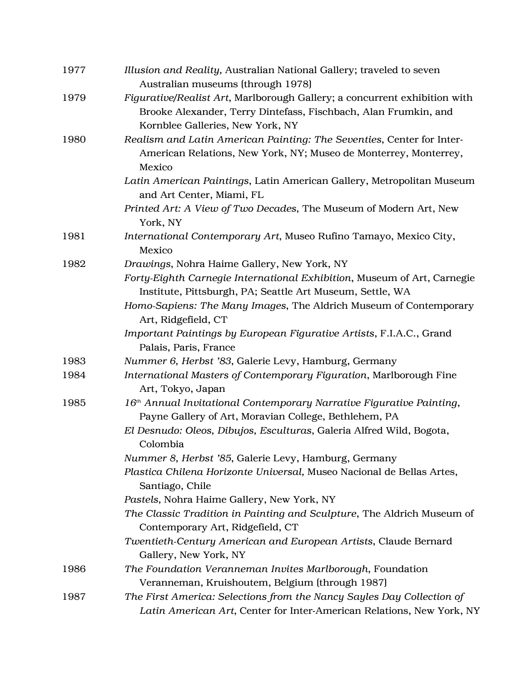| 1977 | Illusion and Reality, Australian National Gallery; traveled to seven<br>Australian museums (through 1978)                                                                        |
|------|----------------------------------------------------------------------------------------------------------------------------------------------------------------------------------|
| 1979 | Figurative/Realist Art, Marlborough Gallery; a concurrent exhibition with<br>Brooke Alexander, Terry Dintefass, Fischbach, Alan Frumkin, and<br>Kornblee Galleries, New York, NY |
| 1980 | Realism and Latin American Painting: The Seventies, Center for Inter-<br>American Relations, New York, NY; Museo de Monterrey, Monterrey,<br>Mexico                              |
|      | Latin American Paintings, Latin American Gallery, Metropolitan Museum<br>and Art Center, Miami, FL                                                                               |
|      | Printed Art: A View of Two Decades, The Museum of Modern Art, New<br>York, NY                                                                                                    |
| 1981 | International Contemporary Art, Museo Rufino Tamayo, Mexico City,<br>Mexico                                                                                                      |
| 1982 | Drawings, Nohra Haime Gallery, New York, NY                                                                                                                                      |
|      | Forty-Eighth Carnegie International Exhibition, Museum of Art, Carnegie                                                                                                          |
|      | Institute, Pittsburgh, PA; Seattle Art Museum, Settle, WA                                                                                                                        |
|      | Homo-Sapiens: The Many Images, The Aldrich Museum of Contemporary<br>Art, Ridgefield, CT                                                                                         |
|      | Important Paintings by European Figurative Artists, F.I.A.C., Grand<br>Palais, Paris, France                                                                                     |
| 1983 | Nummer 6, Herbst '83, Galerie Levy, Hamburg, Germany                                                                                                                             |
| 1984 | International Masters of Contemporary Figuration, Marlborough Fine<br>Art, Tokyo, Japan                                                                                          |
| 1985 | 16 <sup>th</sup> Annual Invitational Contemporary Narrative Figurative Painting,<br>Payne Gallery of Art, Moravian College, Bethlehem, PA                                        |
|      | El Desnudo: Oleos, Dibujos, Esculturas, Galeria Alfred Wild, Bogota,<br>Colombia                                                                                                 |
|      | Nummer 8, Herbst '85, Galerie Levy, Hamburg, Germany                                                                                                                             |
|      | Plastica Chilena Horizonte Universal, Museo Nacional de Bellas Artes,<br>Santiago, Chile                                                                                         |
|      | Pastels, Nohra Haime Gallery, New York, NY                                                                                                                                       |
|      | The Classic Tradition in Painting and Sculpture, The Aldrich Museum of<br>Contemporary Art, Ridgefield, CT                                                                       |
|      | Twentieth-Century American and European Artists, Claude Bernard<br>Gallery, New York, NY                                                                                         |
| 1986 | The Foundation Veranneman Invites Marlborough, Foundation                                                                                                                        |
|      | Veranneman, Kruishoutem, Belgium (through 1987)                                                                                                                                  |
| 1987 | The First America: Selections from the Nancy Sayles Day Collection of                                                                                                            |
|      | Latin American Art, Center for Inter-American Relations, New York, NY                                                                                                            |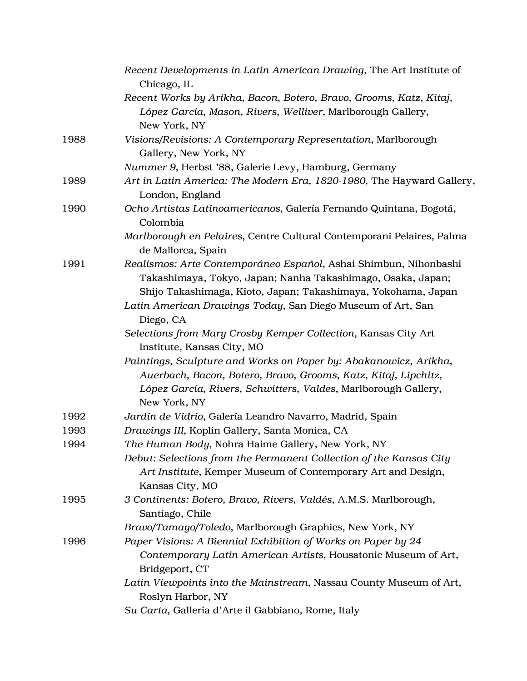|      | Recent Developments in Latin American Drawing, The Art Institute of<br>Chicago, IL                                                                                                                                   |
|------|----------------------------------------------------------------------------------------------------------------------------------------------------------------------------------------------------------------------|
|      | Recent Works by Arikha, Bacon, Botero, Bravo, Grooms, Katz, Kitaj,<br>López García, Mason, Rivers, Welliver, Marlborough Gallery,<br>New York, NY                                                                    |
| 1988 | Visions/Revisions: A Contemporary Representation, Marlborough<br>Gallery, New York, NY                                                                                                                               |
|      | Nummer 9, Herbst '88, Galerie Levy, Hamburg, Germany                                                                                                                                                                 |
| 1989 | Art in Latin America: The Modern Era, 1820-1980, The Hayward Gallery,<br>London, England                                                                                                                             |
| 1990 | Ocho Artistas Latinoamericanos, Galería Fernando Quintana, Bogotá,<br>Colombia                                                                                                                                       |
|      | Marlborough en Pelaires, Centre Cultural Contemporani Pelaires, Palma<br>de Mallorca, Spain                                                                                                                          |
| 1991 | Realismos: Arte Contemporáneo Español, Ashai Shimbun, Nihonbashi<br>Takashimaya, Tokyo, Japan; Nanha Takashimago, Osaka, Japan;<br>Shijo Takashimaga, Kioto, Japan; Takashimaya, Yokohama, Japan                     |
|      | Latin American Drawings Today, San Diego Museum of Art, San<br>Diego, CA                                                                                                                                             |
|      | Selections from Mary Crosby Kemper Collection, Kansas City Art<br>Institute, Kansas City, MO                                                                                                                         |
|      | Paintings, Sculpture and Works on Paper by: Abakanowicz, Arikha,<br>Auerbach, Bacon, Botero, Bravo, Grooms, Katz, Kitaj, Lipchitz,<br>López García, Rivers, Schwitters, Valdes, Marlborough Gallery,<br>New York, NY |
| 1992 | Jardín de Vidrio, Galería Leandro Navarro, Madrid, Spain                                                                                                                                                             |
| 1993 | Drawings III, Koplin Gallery, Santa Monica, CA                                                                                                                                                                       |
| 1994 | The Human Body, Nohra Haime Gallery, New York, NY                                                                                                                                                                    |
|      | Debut: Selections from the Permanent Collection of the Kansas City<br>Art Institute, Kemper Museum of Contemporary Art and Design,<br>Kansas City, MO                                                                |
| 1995 | 3 Continents: Botero, Bravo, Rivers, Valdés, A.M.S. Marlborough,<br>Santiago, Chile                                                                                                                                  |
|      | Bravo/Tamayo/Toledo, Marlborough Graphics, New York, NY                                                                                                                                                              |
| 1996 | Paper Visions: A Biennial Exhibition of Works on Paper by 24                                                                                                                                                         |
|      | Contemporary Latin American Artists, Housatonic Museum of Art,<br>Bridgeport, CT                                                                                                                                     |
|      | Latin Viewpoints into the Mainstream, Nassau County Museum of Art,<br>Roslyn Harbor, NY                                                                                                                              |
|      | Su Carta, Galleria d'Arte il Gabbiano, Rome, Italy                                                                                                                                                                   |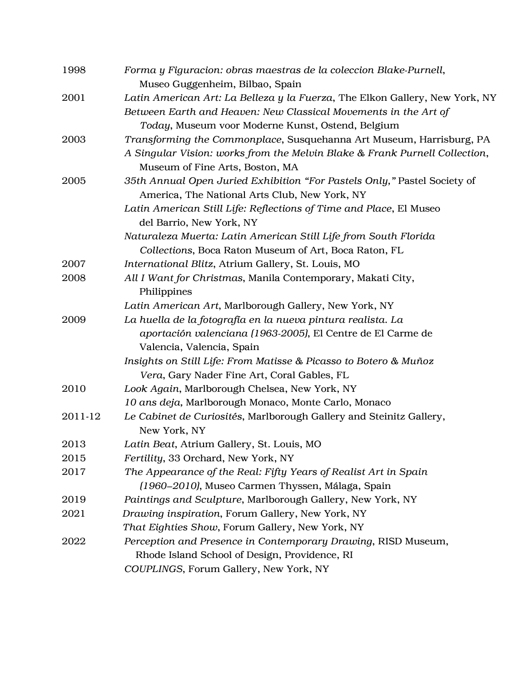| 1998    | Forma y Figuracion: obras maestras de la coleccion Blake-Purnell,<br>Museo Guggenheim, Bilbao, Spain |
|---------|------------------------------------------------------------------------------------------------------|
| 2001    | Latin American Art: La Belleza y la Fuerza, The Elkon Gallery, New York, NY                          |
|         | Between Earth and Heaven: New Classical Movements in the Art of                                      |
|         | Today, Museum voor Moderne Kunst, Ostend, Belgium                                                    |
| 2003    | Transforming the Commonplace, Susquehanna Art Museum, Harrisburg, PA                                 |
|         | A Singular Vision: works from the Melvin Blake & Frank Purnell Collection,                           |
|         | Museum of Fine Arts, Boston, MA                                                                      |
| 2005    | 35th Annual Open Juried Exhibition "For Pastels Only," Pastel Society of                             |
|         | America, The National Arts Club, New York, NY                                                        |
|         | Latin American Still Life: Reflections of Time and Place, El Museo                                   |
|         | del Barrio, New York, NY                                                                             |
|         | Naturaleza Muerta: Latin American Still Life from South Florida                                      |
|         | Collections, Boca Raton Museum of Art, Boca Raton, FL                                                |
| 2007    | International Blitz, Atrium Gallery, St. Louis, MO                                                   |
| 2008    | All I Want for Christmas, Manila Contemporary, Makati City,                                          |
|         | Philippines                                                                                          |
|         | Latin American Art, Marlborough Gallery, New York, NY                                                |
| 2009    | La huella de la fotografía en la nueva pintura realista. La                                          |
|         | aportación valenciana (1963-2005), El Centre de El Carme de                                          |
|         | Valencia, Valencia, Spain                                                                            |
|         | Insights on Still Life: From Matisse & Picasso to Botero & Muñoz                                     |
|         | Vera, Gary Nader Fine Art, Coral Gables, FL                                                          |
| 2010    | Look Again, Marlborough Chelsea, New York, NY                                                        |
|         | 10 ans deja, Marlborough Monaco, Monte Carlo, Monaco                                                 |
| 2011-12 | Le Cabinet de Curiosités, Marlborough Gallery and Steinitz Gallery,                                  |
|         | New York, NY                                                                                         |
| 2013    | Latin Beat, Atrium Gallery, St. Louis, MO                                                            |
| 2015    | Fertility, 33 Orchard, New York, NY                                                                  |
| 2017    | The Appearance of the Real: Fifty Years of Realist Art in Spain                                      |
|         | (1960–2010), Museo Carmen Thyssen, Málaga, Spain                                                     |
| 2019    | Paintings and Sculpture, Marlborough Gallery, New York, NY                                           |
| 2021    | Drawing inspiration, Forum Gallery, New York, NY                                                     |
|         | That Eighties Show, Forum Gallery, New York, NY                                                      |
| 2022    | Perception and Presence in Contemporary Drawing, RISD Museum,                                        |
|         | Rhode Island School of Design, Providence, RI                                                        |
|         | COUPLINGS, Forum Gallery, New York, NY                                                               |